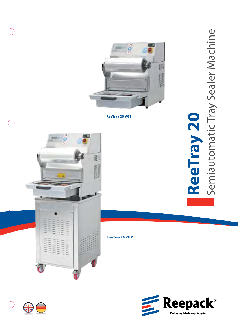

**ReeTray 20 VGT**





**ReeTray 20 VGM**